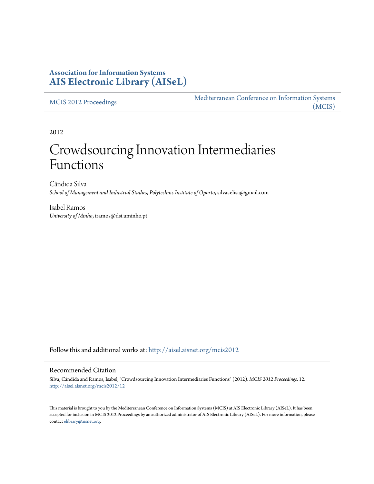## **Association for Information Systems [AIS Electronic Library \(AISeL\)](http://aisel.aisnet.org?utm_source=aisel.aisnet.org%2Fmcis2012%2F12&utm_medium=PDF&utm_campaign=PDFCoverPages)**

[MCIS 2012 Proceedings](http://aisel.aisnet.org/mcis2012?utm_source=aisel.aisnet.org%2Fmcis2012%2F12&utm_medium=PDF&utm_campaign=PDFCoverPages)

[Mediterranean Conference on Information Systems](http://aisel.aisnet.org/mcis?utm_source=aisel.aisnet.org%2Fmcis2012%2F12&utm_medium=PDF&utm_campaign=PDFCoverPages) [\(MCIS\)](http://aisel.aisnet.org/mcis?utm_source=aisel.aisnet.org%2Fmcis2012%2F12&utm_medium=PDF&utm_campaign=PDFCoverPages)

2012

# Crowdsourcing Innovation Intermediaries Functions

Cândida Silva *School of Management and Industrial Studies, Polytechnic Institute of Oporto*, silvacelisa@gmail.com

Isabel Ramos *University of Minho*, iramos@dsi.uminho.pt

Follow this and additional works at: [http://aisel.aisnet.org/mcis2012](http://aisel.aisnet.org/mcis2012?utm_source=aisel.aisnet.org%2Fmcis2012%2F12&utm_medium=PDF&utm_campaign=PDFCoverPages)

### Recommended Citation

Silva, Cândida and Ramos, Isabel, "Crowdsourcing Innovation Intermediaries Functions" (2012). *MCIS 2012 Proceedings*. 12. [http://aisel.aisnet.org/mcis2012/12](http://aisel.aisnet.org/mcis2012/12?utm_source=aisel.aisnet.org%2Fmcis2012%2F12&utm_medium=PDF&utm_campaign=PDFCoverPages)

This material is brought to you by the Mediterranean Conference on Information Systems (MCIS) at AIS Electronic Library (AISeL). It has been accepted for inclusion in MCIS 2012 Proceedings by an authorized administrator of AIS Electronic Library (AISeL). For more information, please contact [elibrary@aisnet.org.](mailto:elibrary@aisnet.org%3E)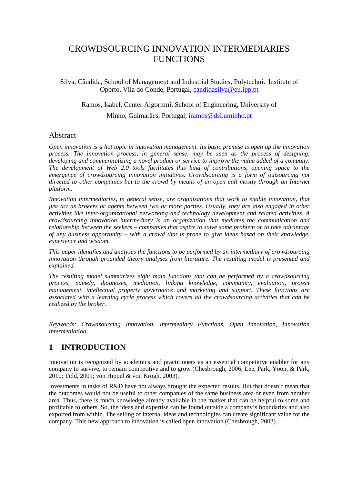# CROWDSOURCING INNOVATION INTERMEDIARIES **FUNCTIONS**

Silva, Cândida, School of Management and Industrial Studies, Polytechnic Institute of Oporto, Vila do Conde, Portugal, candidasilva@eu.ipp.pt

Ramos, Isabel, Center Algoritmi, School of Engineering, University of

Minho, Guimarães, Portugal, iramos@dsi.uminho.pt

## Abstract

*Open innovation is a hot topic in innovation management. Its basic premise is open up the innovation process. The innovation process, in general sense, may be seen as the process of designing, developing and commercializing a novel product or service to improve the value added of a company. The development of Web 2.0 tools facilitates this kind of contributions, opening space to the emergence of crowdsourcing innovation initiatives. Crowdsourcing is a form of outsourcing not*  directed to other companies but to the crowd by means of an open call mostly through an Internet *platform.* 

*Innovation intermediaries, in general sense, are organizations that work to enable innovation, that just act as brokers or agents between two or more parties. Usually, they are also engaged in other activities like inter-organizational networking and technology development and related activities. A crowdsourcing innovation intermediary is an organization that mediates the communication and relationship between the seekers – companies that aspire to solve some problem or to take advantage of any business opportunity – with a crowd that is prone to give ideas based on their knowledge, experience and wisdom.* 

*This paper identifies and analyses the functions to be performed by an intermediary of crowdsourcing innovation through grounded theory analyses from literature. The resulting model is presented and explained.* 

*The resulting model summarizes eight main functions that can be performed by a crowdsourcing process, namely, diagnoses, mediation, linking knowledge, community, evaluation, project management, intellectual property governance and marketing and support. These functions are associated with a learning cycle process which covers all the crowdsourcing activities that can be realized by the broker.* 

*Keywords: Crowdsourcing Innovation, Intermediary Functions, Open Innovation, Innovation intermediation.* 

## **1 INTRODUCTION**

Innovation is recognized by academics and practitioners as an essential competitive enabler for any company to survive, to remain competitive and to grow (Chesbrough, 2006; Lee, Park, Yoon, & Park, 2010; Tidd, 2001; von Hippel & von Krogh, 2003).

Investments in tasks of R&D have not always brought the expected results. But that doesn´t mean that the outcomes would not be useful to other companies of the same business area or even from another area. Thus, there is much knowledge already available in the market that can be helpful to some and profitable to others. So, the ideas and expertise can be found outside a company's boundaries and also exported from within. The selling of internal ideas and technologies can create significant value for the company. This new approach to innovation is called open innovation (Chesbrough, 2003).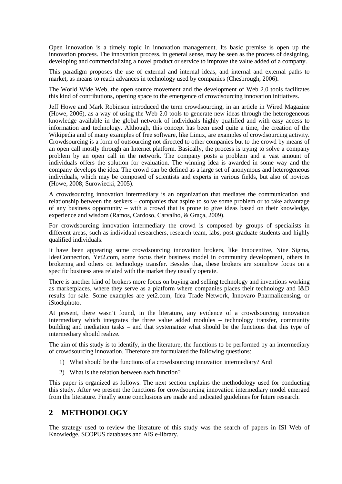Open innovation is a timely topic in innovation management. Its basic premise is open up the innovation process. The innovation process, in general sense, may be seen as the process of designing, developing and commercializing a novel product or service to improve the value added of a company.

This paradigm proposes the use of external and internal ideas, and internal and external paths to market, as means to reach advances in technology used by companies (Chesbrough, 2006).

The World Wide Web, the open source movement and the development of Web 2.0 tools facilitates this kind of contributions, opening space to the emergence of crowdsourcing innovation initiatives.

Jeff Howe and Mark Robinson introduced the term crowdsourcing, in an article in Wired Magazine (Howe, 2006), as a way of using the Web 2.0 tools to generate new ideas through the heterogeneous knowledge available in the global network of individuals highly qualified and with easy access to information and technology. Although, this concept has been used quite a time, the creation of the Wikipedia and of many examples of free software, like Linux, are examples of crowdsourcing activity. Crowdsourcing is a form of outsourcing not directed to other companies but to the crowd by means of an open call mostly through an Internet platform. Basically, the process is trying to solve a company problem by an open call in the network. The company posts a problem and a vast amount of individuals offers the solution for evaluation. The winning idea is awarded in some way and the company develops the idea. The crowd can be defined as a large set of anonymous and heterogeneous individuals, which may be composed of scientists and experts in various fields, but also of novices (Howe, 2008; Surowiecki, 2005).

A crowdsourcing innovation intermediary is an organization that mediates the communication and relationship between the seekers – companies that aspire to solve some problem or to take advantage of any business opportunity – with a crowd that is prone to give ideas based on their knowledge, experience and wisdom (Ramos, Cardoso, Carvalho, & Graça, 2009).

For crowdsourcing innovation intermediary the crowd is composed by groups of specialists in different areas, such as individual researchers, research team, labs, post-graduate students and highly qualified individuals.

It have been appearing some crowdsourcing innovation brokers, like Innocentive, Nine Sigma, IdeaConnection, Yet2.com, some focus their business model in community development, others in brokering and others on technology transfer. Besides that, these brokers are somehow focus on a specific business area related with the market they usually operate.

There is another kind of brokers more focus on buying and selling technology and inventions working as marketplaces, where they serve as a platform where companies places their technology and I&D results for sale. Some examples are yet2.com, Idea Trade Network, Innovaro Pharmalicensing, or iStockphoto.

At present, there wasn't found, in the literature, any evidence of a crowdsourcing innovation intermediary which integrates the three value added modules – technology transfer, community building and mediation tasks – and that systematize what should be the functions that this type of intermediary should realize.

The aim of this study is to identify, in the literature, the functions to be performed by an intermediary of crowdsourcing innovation. Therefore are formulated the following questions:

- 1) What should be the functions of a crowdsourcing innovation intermediary? And
- 2) What is the relation between each function?

This paper is organized as follows. The next section explains the methodology used for conducting this study. After we present the functions for crowdsourcing innovation intermediary model emerged from the literature. Finally some conclusions are made and indicated guidelines for future research.

## **2 METHODOLOGY**

The strategy used to review the literature of this study was the search of papers in ISI Web of Knowledge, SCOPUS databases and AIS e-library.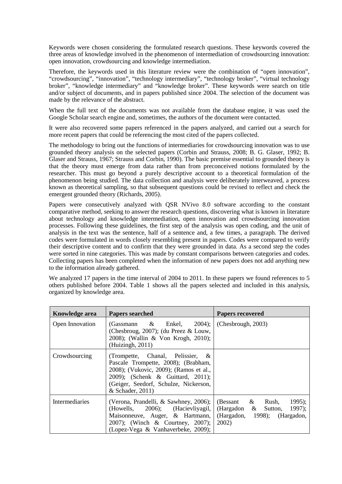Keywords were chosen considering the formulated research questions. These keywords covered the three areas of knowledge involved in the phenomenon of intermediation of crowdsourcing innovation: open innovation, crowdsourcing and knowledge intermediation.

Therefore, the keywords used in this literature review were the combination of "open innovation", "crowdsourcing", "innovation", "technology intermediary", "technology broker", "virtual technology broker", "knowledge intermediary" and "knowledge broker". These keywords were search on title and/or subject of documents, and in papers published since 2004. The selection of the document was made by the relevance of the abstract.

When the full text of the documents was not available from the database engine, it was used the Google Scholar search engine and, sometimes, the authors of the document were contacted.

It were also recovered some papers referenced in the papers analyzed, and carried out a search for more recent papers that could be referencing the most cited of the papers collected.

The methodology to bring out the functions of intermediaries for crowdsourcing innovation was to use grounded theory analysis on the selected papers (Corbin and Strauss, 2008; B. G. Glaser, 1992; B. Glaser and Strauss, 1967; Strauss and Corbin, 1990). The basic premise essential to grounded theory is that the theory must emerge from data rather than from preconceived notions formulated by the researcher. This must go beyond a purely descriptive account to a theoretical formulation of the phenomenon being studied. The data collection and analysis were deliberately interweaved, a process known as theoretical sampling, so that subsequent questions could be revised to reflect and check the emergent grounded theory (Richards, 2005).

Papers were consecutively analyzed with QSR NVivo 8.0 software according to the constant comparative method, seeking to answer the research questions, discovering what is known in literature about technology and knowledge intermediation, open innovation and crowdsourcing innovation processes. Following these guidelines, the first step of the analysis was open coding, and the unit of analysis in the text was the sentence, half of a sentence and, a few times, a paragraph. The derived codes were formulated in words closely resembling present in papers. Codes were compared to verify their descriptive content and to confirm that they were grounded in data. As a second step the codes were sorted in nine categories. This was made by constant comparisons between categories and codes. Collecting papers has been completed when the information of new papers does not add anything new to the information already gathered.

We analyzed 17 papers in the time interval of 2004 to 2011. In these papers we found references to 5 others published before 2004. Table 1 shows all the papers selected and included in this analysis, organized by knowledge area.

| <b>Knowledge area</b> | <b>Papers searched</b>                                                                                                                                                                                                 | <b>Papers recovered</b>                                                                                |
|-----------------------|------------------------------------------------------------------------------------------------------------------------------------------------------------------------------------------------------------------------|--------------------------------------------------------------------------------------------------------|
| Open Innovation       | (Gassmann $\&$ Enkel, 2004);<br>(Chesbroug, 2007); (du Preez $&$ Louw,<br>2008); (Wallin & Von Krogh, 2010);<br>(Huizingh, 2011)                                                                                       | (Chesbrough, 2003)                                                                                     |
| Crowdsourcing         | (Trompette, Chanal, Pelissier, $\&$<br>Pascale Trompette, 2008); (Brabham,<br>2008); (Vukovic, 2009); (Ramos et al.,<br>2009); (Schenk & Guittard, 2011);<br>(Geiger, Seedorf, Schulze, Nickerson,<br>& Schader, 2011) |                                                                                                        |
| Intermediaries        | (Verona, Prandelli, & Sawhney, 2006);<br>(Howells, 2006); (Hacievliyagil,<br>Maisonneuve, Auger, & Hartmann,<br>2007); (Winch & Courtney, 2007);<br>(Lopez-Vega & Vanhaverbeke, 2009);                                 | $1995$ ;<br>$(Bessant \& Rush,$<br>(Hargadon & Sutton, 1997);<br>(Hargadon, 1998); (Hargadon,<br>2002) |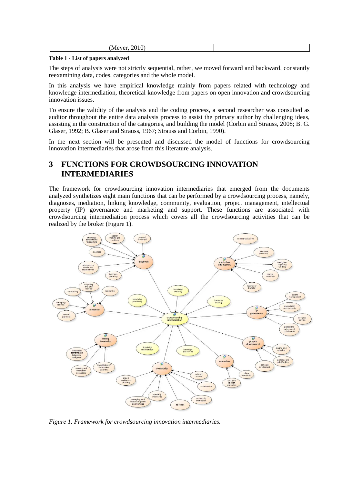|--|

#### **Table 1 - List of papers analyzed**

The steps of analysis were not strictly sequential, rather, we moved forward and backward, constantly reexamining data, codes, categories and the whole model.

In this analysis we have empirical knowledge mainly from papers related with technology and knowledge intermediation, theoretical knowledge from papers on open innovation and crowdsourcing innovation issues.

To ensure the validity of the analysis and the coding process, a second researcher was consulted as auditor throughout the entire data analysis process to assist the primary author by challenging ideas, assisting in the construction of the categories, and building the model (Corbin and Strauss, 2008; B. G. Glaser, 1992; B. Glaser and Strauss, 1967; Strauss and Corbin, 1990).

In the next section will be presented and discussed the model of functions for crowdsourcing innovation intermediaries that arose from this literature analysis.

# **3 FUNCTIONS FOR CROWDSOURCING INNOVATION INTERMEDIARIES**

The framework for crowdsourcing innovation intermediaries that emerged from the documents analyzed synthetizes eight main functions that can be performed by a crowdsourcing process, namely, diagnoses, mediation, linking knowledge, community, evaluation, project management, intellectual property (IP) governance and marketing and support. These functions are associated with crowdsourcing intermediation process which covers all the crowdsourcing activities that can be realized by the broker (Figure 1).



*Figure 1. Framework for crowdsourcing innovation intermediaries.*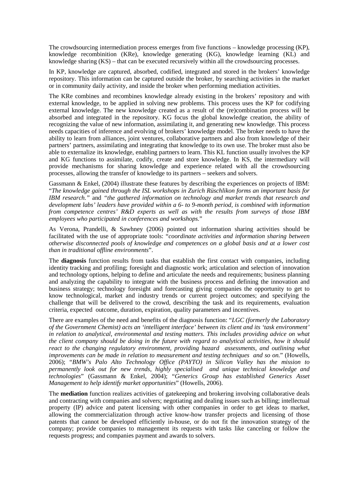The crowdsourcing intermediation process emerges from five functions – knowledge processing (KP), knowledge recombinition (KRe), knowledge generating (KG), knowledge learning (KL) and knowledge sharing (KS) – that can be executed recursively within all the crowdsourcing processes.

In KP, knowledge are captured, absorbed, codified, integrated and stored in the brokers' knowledge repository. This information can be captured outside the broker, by searching activities in the market or in community daily activity, and inside the broker when performing mediation activities.

The KRe combines and recombines knowledge already existing in the brokers' repository and with external knowledge, to be applied in solving new problems. This process uses the KP for codifying external knowledge. The new knowledge created as a result of the (re)combination process will be absorbed and integrated in the repository. KG focus the global knowledge creation, the ability of recognizing the value of new information, assimilating it, and generating new knowledge. This process needs capacities of inference and evolving of brokers' knowledge model. The broker needs to have the ability to learn from alliances, joint ventures, collaborative partners and also from knowledge of their partners' partners, assimilating and integrating that knowledge to its own use. The broker must also be able to externalize its knowledge, enabling partners to learn. This KL function usually involves the KP and KG functions to assimilate, codify, create and store knowledge. In KS, the intermediary will provide mechanisms for sharing knowledge and experience related with all the crowdsourcing processes, allowing the transfer of knowledge to its partners – seekers and solvers.

Gassmann & Enkel, (2004) illustrate these features by describing the experiences on projects of IBM: "*The knowledge gained through the ISL workshops in Zurich Rüschlikon forms an important basis for IBM research."* and *"the gathered information on technology and market trends that research and development labs' leaders have provided within a 6- to 9-month period, is combined with information from competence centres' R&D experts as well as with the results from surveys of those IBM employees who participated in conferences and workshops.*"

As Verona, Prandelli, & Sawhney (2006) pointed out information sharing activities should be facilitated with the use of appropriate tools: "*coordinate activities and information sharing between otherwise disconnected pools of knowledge and competences on a global basis and at a lower cost than in traditional offline environments*".

The **diagnosis** function results from tasks that establish the first contact with companies, including identity tracking and profiling; foresight and diagnostic work; articulation and selection of innovation and technology options, helping to define and articulate the needs and requirements; business planning and analyzing the capability to integrate with the business process and defining the innovation and business strategy; technology foresight and forecasting giving companies the opportunity to get to know technological, market and industry trends or current project outcomes; and specifying the challenge that will be delivered to the crowd, describing the task and its requirements, evaluation criteria, expected outcome, duration, expiration, quality parameters and incentives.

There are examples of the need and benefits of the diagnosis function: "*LGC (formerly the Laboratory of the Government Chemist) acts an 'intelligent interface' between its client and its 'task environment' in relation to analytical, environmental and testing matters. This includes providing advice on what the client company should be doing in the future with regard to analytical activities, how it should react to the changing regulatory environment, providing hazard assessments, and outlining what improvements can be made in relation to measurement and testing techniques and so on.*" (Howells, 2006); "*BMW's Palo Alto Technology Office (PAYTO) in Silicon Valley has the mission to permanently look out for new trends, highly specialised and unique technical knowledge and technologies*" (Gassmann & Enkel, 2004); "*Generics Group has established Generics Asset Management to help identify market opportunities*" (Howells, 2006).

The **mediation** function realizes activities of gatekeeping and brokering involving collaborative deals and contracting with companies and solvers; negotiating and dealing issues such as billing; intellectual property (IP) advice and patent licensing with other companies in order to get ideas to market, allowing the commercialization through active know-how transfer projects and licensing of those patents that cannot be developed efficiently in-house, or do not fit the innovation strategy of the company; provide companies to management its requests with tasks like canceling or follow the requests progress; and companies payment and awards to solvers.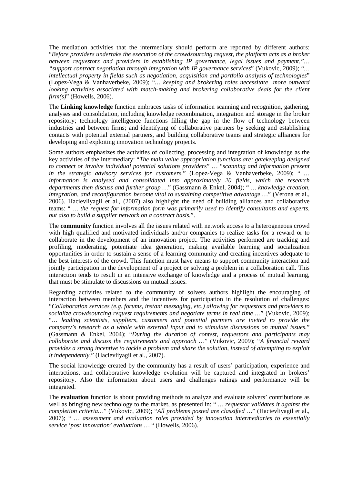The mediation activities that the intermediary should perform are reported by different authors: "*Before providers undertake the execution of the crowdsourcing request, the platform acts as a broker between requestors and providers in establishing IP governance, legal issues and payment."… "support contract negotiation through integration with IP governance services*" (Vukovic, 2009); "*… intellectual property in fields such as negotiation, acquisition and portfolio analysis of technologies*" (Lopez-Vega & Vanhaverbeke, 2009); "*… keeping and brokering roles necessitate more outward looking activities associated with match-making and brokering collaborative deals for the client firm(s)*" (Howells, 2006).

The **Linking knowledge** function embraces tasks of information scanning and recognition, gathering, analyses and consolidation, including knowledge recombination, integration and storage in the broker repository; technology intelligence functions filling the gap in the flow of technology between industries and between firms; and identifying of collaborative partners by seeking and establishing contacts with potential external partners, and building collaborative teams and strategic alliances for developing and exploiting innovation technology projects.

Some authors emphasizes the activities of collecting, processing and integration of knowledge as the key activities of the intermediary: "*The main value appropriation functions are: gatekeeping designed to connect or involve individual potential solutions provider*s" … "*scanning and information present in the strategic advisory services for customers.*" (Lopez-Vega & Vanhaverbeke, 2009); " *… information is analysed and consolidated into approximately 20 fields, which the research departments then discuss and further group …*" (Gassmann & Enkel, 2004); " *… knowledge creation, integration, and reconfiguration become vital to sustaining competitive advantage …*" (Verona et al., 2006). Hacievliyagil et al., (2007) also highlight the need of building alliances and collaborative teams: " *… the request for information form was primarily used to identify consultants and experts, but also to build a supplier network on a contract basis.*".

The **community** function involves all the issues related with network access to a heterogeneous crowd with high qualified and motivated individuals and/or companies to realize tasks for a reward or to collaborate in the development of an innovation project. The activities performed are tracking and profiling, moderating, potentiate idea generation, making available learning and socialization opportunities in order to sustain a sense of a learning community and creating incentives adequate to the best interests of the crowd. This function must have means to support community interaction and jointly participation in the development of a project or solving a problem in a collaboration call. This interaction tends to result in an intensive exchange of knowledge and a process of mutual learning, that must be stimulate to discussions on mutual issues.

Regarding activities related to the community of solvers authors highlight the encouraging of interaction between members and the incentives for participation in the resolution of challenges: "*Collaboration services (e.g. forums, instant messaging, etc.) allowing for requestors and providers to socialize crowdsourcing request requirements and negotiate terms in real time …*" (Vukovic, 2009); "*… leading scientists, suppliers, customers and potential partners are invited to provide the company's research as a whole with external input and to stimulate discussions on mutual issues.*" (Gassmann & Enkel, 2004); "*During the duration of contest, requestors and participants may collaborate and discuss the requirements and approach …*" (Vukovic, 2009); "*A financial reward provides a strong incentive to tackle a problem and share the solution, instead of attempting to exploit it independently.*" (Hacievliyagil et al., 2007).

The social knowledge created by the community has a result of users' participation, experience and interactions, and collaborative knowledge evolution will be captured and integrated in brokers' repository. Also the information about users and challenges ratings and performance will be integrated.

The **evaluation** function is about providing methods to analyze and evaluate solvers' contributions as well as bringing new technology to the market, as presented in: "*... requestor validates it against the completion criteria…*" (Vukovic, 2009); "*All problems posted are classified …*" (Hacievliyagil et al., 2007); " *… assessment and evaluation roles provided by innovation intermediaries to essentially service 'post innovation' evaluations …* " (Howells, 2006).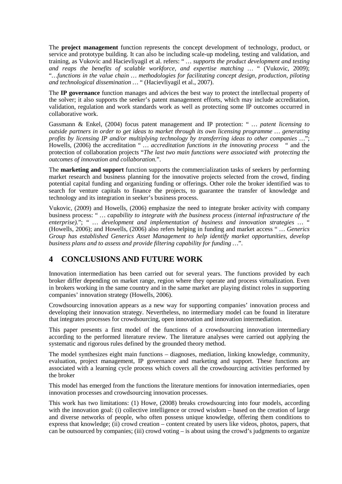The **project management** function represents the concept development of technology, product, or service and prototype building. It can also be including scale-up modeling, testing and validation, and training, as Vukovic and Hacievliyagil et al. refers: " *… supports the product development and testing and reaps the benefits of scalable workforce, and expertise matching …* " (Vukovic, 2009); "*…functions in the value chain … methodologies for facilitating concept design, production, piloting and technological dissemination …* " (Hacievliyagil et al., 2007).

The **IP governance** function manages and advices the best way to protect the intellectual property of the solver; it also supports the seeker's patent management efforts, which may include accreditation, validation, regulation and work standards work as well as protecting some IP outcomes occurred in collaborative work.

Gassmann & Enkel, (2004) focus patent management and IP protection: " *… patent licensing to outside partners in order to get ideas to market through its own licensing programme … generating profits by licensing IP and/or multiplying technology by transferring ideas to other companies …*"; Howells, (2006) the accreditation " *… accreditation functions in the innovating process* " and the protection of collaboration projects "*The last two main functions were associated with protecting the outcomes of innovation and collaboration.*".

The **marketing and support** function supports the commercialization tasks of seekers by performing market research and business planning for the innovative projects selected from the crowd, finding potential capital funding and organizing funding or offerings. Other role the broker identified was to search for venture capitals to finance the projects, to guarantee the transfer of knowledge and technology and its integration in seeker's business process.

Vukovic, (2009) and Howells, (2006) emphasize the need to integrate broker activity with company business process: " *… capability to integrate with the business process (internal infrastructure of the enterprise).*"; " *… development and implementation of business and innovation strategies …* " (Howells, 2006); and Howells, (2006) also refers helping in funding and market access " *… Generics Group has established Generics Asset Management to help identify market opportunities, develop business plans and to assess and provide filtering capability for funding …*".

# **4 CONCLUSIONS AND FUTURE WORK**

Innovation intermediation has been carried out for several years. The functions provided by each broker differ depending on market range, region where they operate and process virtualization. Even in brokers working in the same country and in the same market are playing distinct roles in supporting companies' innovation strategy (Howells, 2006).

Crowdsourcing innovation appears as a new way for supporting companies' innovation process and developing their innovation strategy. Nevertheless, no intermediary model can be found in literature that integrates processes for crowdsourcing, open innovation and innovation intermediation.

This paper presents a first model of the functions of a crowdsourcing innovation intermediary according to the performed literature review. The literature analyses were carried out applying the systematic and rigorous rules defined by the grounded theory method.

The model synthesizes eight main functions – diagnoses, mediation, linking knowledge, community, evaluation, project management, IP governance and marketing and support. These functions are associated with a learning cycle process which covers all the crowdsourcing activities performed by the broker

This model has emerged from the functions the literature mentions for innovation intermediaries, open innovation processes and crowdsourcing innovation processes.

This work has two limitations: (1) Howe, (2008) breaks crowdsourcing into four models, according with the innovation goal: (i) collective intelligence or crowd wisdom – based on the creation of large and diverse networks of people, who often possess unique knowledge, offering them conditions to express that knowledge; (ii) crowd creation – content created by users like videos, photos, papers, that can be outsourced by companies; (iii) crowd voting – is about using the crowd's judgments to organize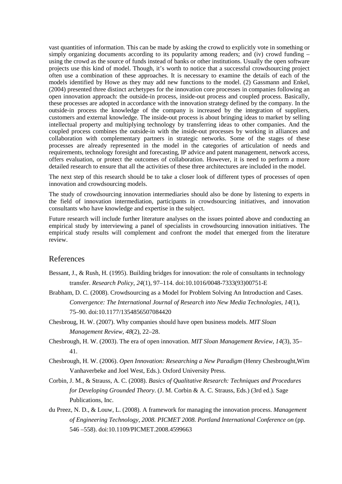vast quantities of information. This can be made by asking the crowd to explicitly vote in something or simply organizing documents according to its popularity among readers; and (iv) crowd funding – using the crowd as the source of funds instead of banks or other institutions. Usually the open software projects use this kind of model. Though, it's worth to notice that a successful crowdsourcing project often use a combination of these approaches. It is necessary to examine the details of each of the models identified by Howe as they may add new functions to the model. (2) Gassmann and Enkel, (2004) presented three distinct archetypes for the innovation core processes in companies following an open innovation approach: the outside-in process, inside-out process and coupled process. Basically, these processes are adopted in accordance with the innovation strategy defined by the company. In the outside-in process the knowledge of the company is increased by the integration of suppliers, customers and external knowledge. The inside-out process is about bringing ideas to market by selling intellectual property and multiplying technology by transferring ideas to other companies. And the coupled process combines the outside-in with the inside-out processes by working in alliances and collaboration with complementary partners in strategic networks. Some of the stages of these processes are already represented in the model in the categories of articulation of needs and requirements, technology foresight and forecasting, IP advice and patent management, network access, offers evaluation, or protect the outcomes of collaboration. However, it is need to perform a more detailed research to ensure that all the activities of these three architectures are included in the model.

The next step of this research should be to take a closer look of different types of processes of open innovation and crowdsourcing models.

The study of crowdsourcing innovation intermediaries should also be done by listening to experts in the field of innovation intermediation, participants in crowdsourcing initiatives, and innovation consultants who have knowledge and expertise in the subject.

Future research will include further literature analyses on the issues pointed above and conducting an empirical study by interviewing a panel of specialists in crowdsourcing innovation initiatives. The empirical study results will complement and confront the model that emerged from the literature review.

## References

- Bessant, J., & Rush, H. (1995). Building bridges for innovation: the role of consultants in technology transfer. *Research Policy*, *24*(1), 97–114. doi:10.1016/0048-7333(93)00751-E
- Brabham, D. C. (2008). Crowdsourcing as a Model for Problem Solving An Introduction and Cases. *Convergence: The International Journal of Research into New Media Technologies*, *14*(1), 75–90. doi:10.1177/1354856507084420
- Chesbroug, H. W. (2007). Why companies should have open business models. *MIT Sloan Management Review*, *48*(2), 22–28.
- Chesbrough, H. W. (2003). The era of open innovation. *MIT Sloan Management Review*, *14*(3), 35– 41.
- Chesbrough, H. W. (2006). *Open Innovation: Researching a New Paradigm* (Henry Chesbrought,Wim Vanhaverbeke and Joel West, Eds.). Oxford University Press.
- Corbin, J. M., & Strauss, A. C. (2008). *Basics of Qualitative Research: Techniques and Procedures for Developing Grounded Theory*. (J. M. Corbin & A. C. Strauss, Eds.) (3rd ed.). Sage Publications, Inc.
- du Preez, N. D., & Louw, L. (2008). A framework for managing the innovation process. *Management of Engineering Technology, 2008. PICMET 2008. Portland International Conference on* (pp. 546 –558). doi:10.1109/PICMET.2008.4599663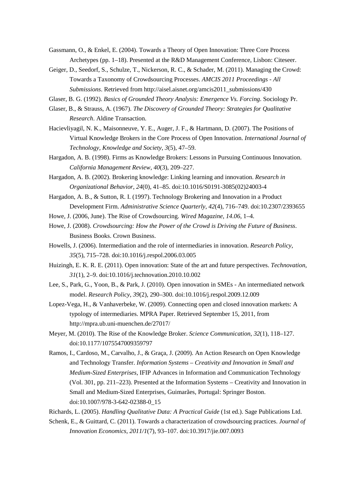Gassmann, O., & Enkel, E. (2004). Towards a Theory of Open Innovation: Three Core Process Archetypes (pp. 1–18). Presented at the R&D Management Conference, Lisbon: Citeseer.

Geiger, D., Seedorf, S., Schulze, T., Nickerson, R. C., & Schader, M. (2011). Managing the Crowd: Towards a Taxonomy of Crowdsourcing Processes. *AMCIS 2011 Proceedings - All Submissions*. Retrieved from http://aisel.aisnet.org/amcis2011\_submissions/430

Glaser, B. G. (1992). *Basics of Grounded Theory Analysis: Emergence Vs. Forcing*. Sociology Pr.

- Glaser, B., & Strauss, A. (1967). *The Discovery of Grounded Theory: Strategies for Qualitative Research*. Aldine Transaction.
- Hacievliyagil, N. K., Maisonneuve, Y. E., Auger, J. F., & Hartmann, D. (2007). The Positions of Virtual Knowledge Brokers in the Core Process of Open Innovation. *International Journal of Technology, Knowledge and Society*, *3*(5), 47–59.
- Hargadon, A. B. (1998). Firms as Knowledge Brokers: Lessons in Pursuing Continuous Innovation. *California Management Review*, *40*(3), 209–227.
- Hargadon, A. B. (2002). Brokering knowledge: Linking learning and innovation. *Research in Organizational Behavior*, *24*(0), 41–85. doi:10.1016/S0191-3085(02)24003-4
- Hargadon, A. B., & Sutton, R. I. (1997). Technology Brokering and Innovation in a Product Development Firm. *Administrative Science Quarterly*, *42*(4), 716–749. doi:10.2307/2393655

Howe, J. (2006, June). The Rise of Crowdsourcing. *Wired Magazine*, *14.06*, 1–4.

- Howe, J. (2008). *Crowdsourcing: How the Power of the Crowd is Driving the Future of Business*. Business Books. Crown Business.
- Howells, J. (2006). Intermediation and the role of intermediaries in innovation. *Research Policy*, *35*(5), 715–728. doi:10.1016/j.respol.2006.03.005
- Huizingh, E. K. R. E. (2011). Open innovation: State of the art and future perspectives. *Technovation*, *31*(1), 2–9. doi:10.1016/j.technovation.2010.10.002
- Lee, S., Park, G., Yoon, B., & Park, J. (2010). Open innovation in SMEs An intermediated network model. *Research Policy*, *39*(2), 290–300. doi:10.1016/j.respol.2009.12.009
- Lopez-Vega, H., & Vanhaverbeke, W. (2009). Connecting open and closed innovation markets: A typology of intermediaries. MPRA Paper. Retrieved September 15, 2011, from http://mpra.ub.uni-muenchen.de/27017/
- Meyer, M. (2010). The Rise of the Knowledge Broker. *Science Communication*, *32*(1), 118–127. doi:10.1177/1075547009359797
- Ramos, I., Cardoso, M., Carvalho, J., & Graça, J. (2009). An Action Research on Open Knowledge and Technology Transfer. *Information Systems – Creativity and Innovation in Small and Medium-Sized Enterprises*, IFIP Advances in Information and Communication Technology (Vol. 301, pp. 211–223). Presented at the Information Systems – Creativity and Innovation in Small and Medium-Sized Enterprises, Guimarães, Portugal: Springer Boston. doi:10.1007/978-3-642-02388-0\_15

Richards, L. (2005). *Handling Qualitative Data: A Practical Guide* (1st ed.). Sage Publications Ltd.

Schenk, E., & Guittard, C. (2011). Towards a characterization of crowdsourcing practices. *Journal of Innovation Economics*, *2011/1*(7), 93–107. doi:10.3917/jie.007.0093